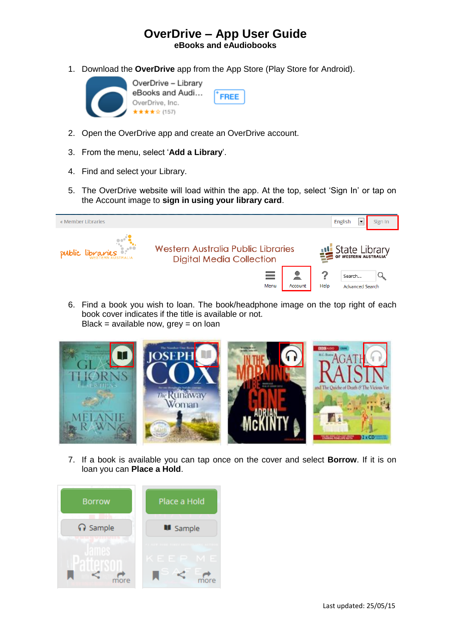## **OverDrive – App User Guide eBooks and eAudiobooks**

FREE

1. Download the **OverDrive** app from the App Store (Play Store for Android).



- 2. Open the OverDrive app and create an OverDrive account.
- 3. From the menu, select '**Add a Library**'.
- 4. Find and select your Library.
- 5. The OverDrive website will load within the app. At the top, select 'Sign In' or tap on the Account image to **sign in using your library card**.



6. Find a book you wish to loan. The book/headphone image on the top right of each book cover indicates if the title is available or not. Black = available now,  $grey = on loan$ 



7. If a book is available you can tap once on the cover and select **Borrow**. If it is on loan you can **Place a Hold**.

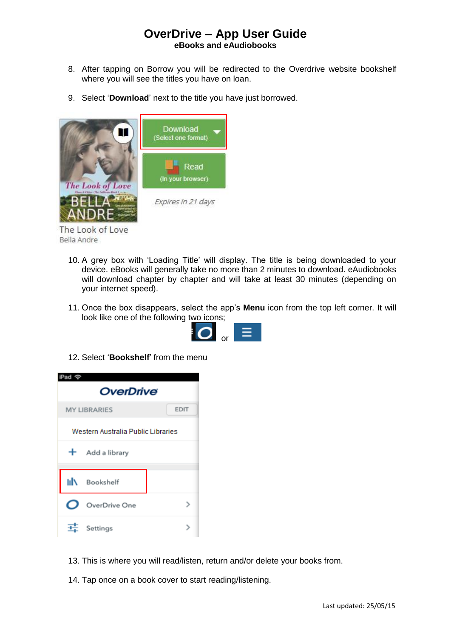## **OverDrive – App User Guide eBooks and eAudiobooks**

- 8. After tapping on Borrow you will be redirected to the Overdrive website bookshelf where you will see the titles you have on loan.
- 9. Select '**Download**' next to the title you have just borrowed.



The Look of Love Bella Andre

- 10. A grey box with 'Loading Title' will display. The title is being downloaded to your device. eBooks will generally take no more than 2 minutes to download. eAudiobooks will download chapter by chapter and will take at least 30 minutes (depending on your internet speed).
- 11. Once the box disappears, select the app's **Menu** icon from the top left corner. It will look like one of the following two icons;



12. Select '**Bookshelf**' from the menu



- 13. This is where you will read/listen, return and/or delete your books from.
- 14. Tap once on a book cover to start reading/listening.